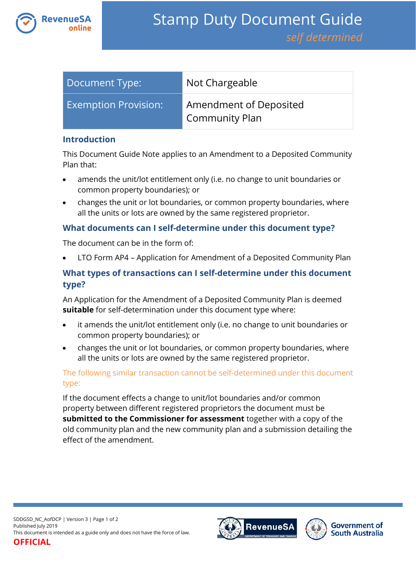

| Document Type:              | Not Chargeable                                  |
|-----------------------------|-------------------------------------------------|
| <b>Exemption Provision:</b> | Amendment of Deposited<br><b>Community Plan</b> |

#### **Introduction**

This Document Guide Note applies to an Amendment to a Deposited Community Plan that:

- amends the unit/lot entitlement only (i.e. no change to unit boundaries or common property boundaries); or
- changes the unit or lot boundaries, or common property boundaries, where all the units or lots are owned by the same registered proprietor.

## **What documents can I self-determine under this document type?**

The document can be in the form of:

LTO Form AP4 – Application for Amendment of a Deposited Community Plan

# **What types of transactions can I self-determine under this document type?**

An Application for the Amendment of a Deposited Community Plan is deemed **suitable** for self-determination under this document type where:

- it amends the unit/lot entitlement only (i.e. no change to unit boundaries or common property boundaries); or
- changes the unit or lot boundaries, or common property boundaries, where all the units or lots are owned by the same registered proprietor.

The following similar transaction cannot be self-determined under this document type:

If the document effects a change to unit/lot boundaries and/or common property between different registered proprietors the document must be **submitted to the Commissioner for assessment** together with a copy of the old community plan and the new community plan and a submission detailing the effect of the amendment.